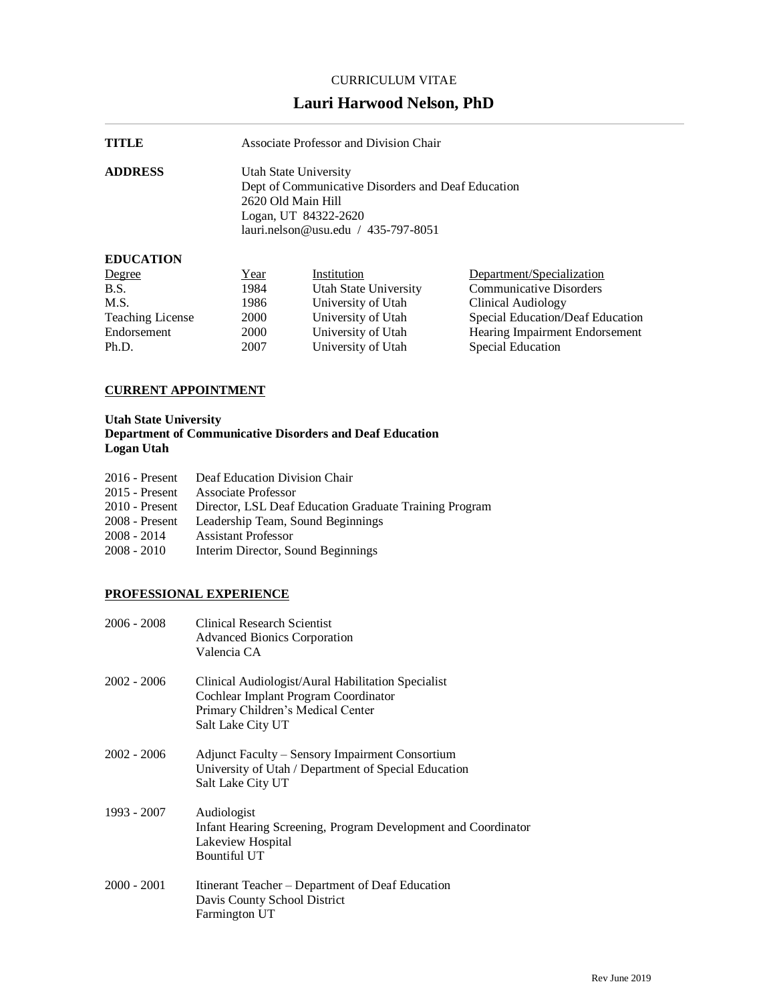## CURRICULUM VITAE

# **Lauri Harwood Nelson, PhD**

| TITLE          | Associate Professor and Division Chair                                                                                                                              |
|----------------|---------------------------------------------------------------------------------------------------------------------------------------------------------------------|
| <b>ADDRESS</b> | Utah State University<br>Dept of Communicative Disorders and Deaf Education<br>2620 Old Main Hill<br>Logan, UT 84322-2620<br>$lauri.$ nelson@usu.edu / 435-797-8051 |

## **EDUCATION**

| Degree                  | <u>Year</u> | Institution           | Department/Specialization        |
|-------------------------|-------------|-----------------------|----------------------------------|
| B.S.                    | 1984        | Utah State University | <b>Communicative Disorders</b>   |
| M.S.                    | 1986        | University of Utah    | Clinical Audiology               |
| <b>Teaching License</b> | 2000        | University of Utah    | Special Education/Deaf Education |
| Endorsement             | 2000        | University of Utah    | Hearing Impairment Endorsement   |
| Ph.D.                   | 2007        | University of Utah    | Special Education                |

# **CURRENT APPOINTMENT**

## **Utah State University Department of Communicative Disorders and Deaf Education Logan Utah**

|                  | 2016 - Present Deaf Education Division Chair                          |
|------------------|-----------------------------------------------------------------------|
| $2015$ - Present | Associate Professor                                                   |
|                  | 2010 - Present Director, LSL Deaf Education Graduate Training Program |
| 2008 - Present   | Leadership Team, Sound Beginnings                                     |
| $2008 - 2014$    | <b>Assistant Professor</b>                                            |
| $2008 - 2010$    | Interim Director, Sound Beginnings                                    |

# **PROFESSIONAL EXPERIENCE**

| 2006 - 2008 | <b>Clinical Research Scientist</b><br><b>Advanced Bionics Corporation</b><br>Valencia CA                                                             |
|-------------|------------------------------------------------------------------------------------------------------------------------------------------------------|
| 2002 - 2006 | Clinical Audiologist/Aural Habilitation Specialist<br>Cochlear Implant Program Coordinator<br>Primary Children's Medical Center<br>Salt Lake City UT |
| 2002 - 2006 | Adjunct Faculty – Sensory Impairment Consortium<br>University of Utah / Department of Special Education<br>Salt Lake City UT                         |
| 1993 - 2007 | Audiologist<br>Infant Hearing Screening, Program Development and Coordinator<br>Lakeview Hospital<br><b>Bountiful UT</b>                             |
| 2000 - 2001 | Itinerant Teacher – Department of Deaf Education<br>Davis County School District<br>Farmington UT                                                    |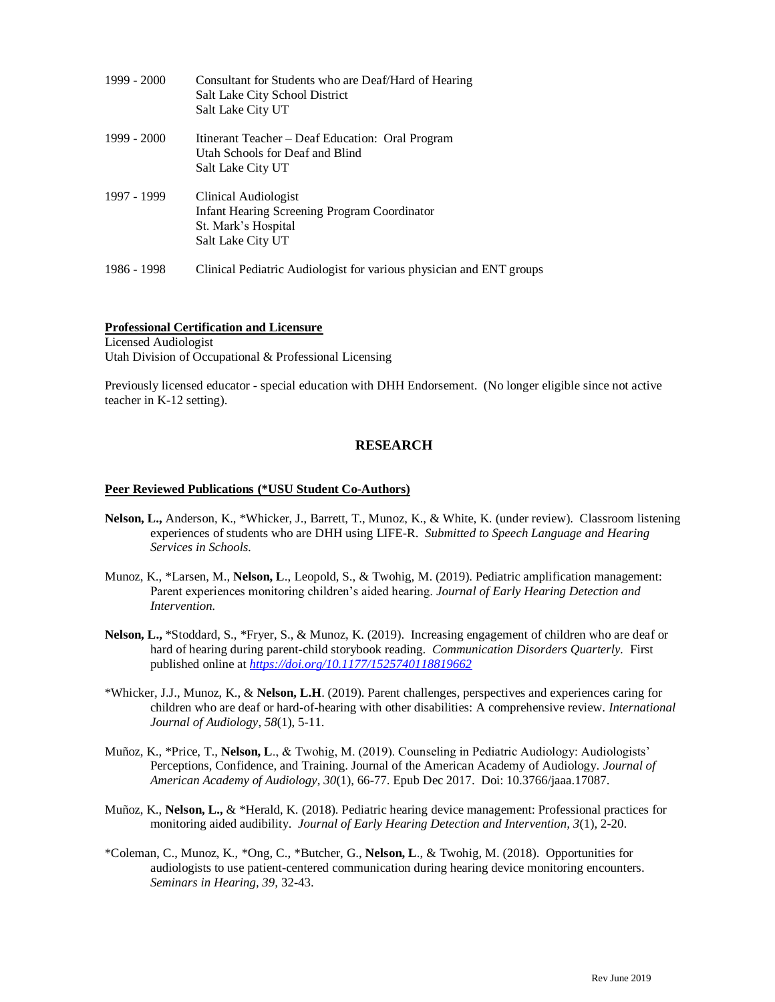| 1999 - 2000 | Consultant for Students who are Deaf/Hard of Hearing<br>Salt Lake City School District<br>Salt Lake City UT             |
|-------------|-------------------------------------------------------------------------------------------------------------------------|
| 1999 - 2000 | Itinerant Teacher – Deaf Education: Oral Program<br>Utah Schools for Deaf and Blind<br>Salt Lake City UT                |
| 1997 - 1999 | Clinical Audiologist<br><b>Infant Hearing Screening Program Coordinator</b><br>St. Mark's Hospital<br>Salt Lake City UT |
| 1986 - 1998 | Clinical Pediatric Audiologist for various physician and ENT groups                                                     |

### **Professional Certification and Licensure**

Licensed Audiologist Utah Division of Occupational & Professional Licensing

Previously licensed educator - special education with DHH Endorsement. (No longer eligible since not active teacher in K-12 setting).

### **RESEARCH**

#### **Peer Reviewed Publications (\*USU Student Co-Authors)**

- **Nelson, L.,** Anderson, K., \*Whicker, J., Barrett, T., Munoz, K., & White, K. (under review). Classroom listening experiences of students who are DHH using LIFE-R. *Submitted to Speech Language and Hearing Services in Schools.*
- Munoz, K., \*Larsen, M., **Nelson, L**., Leopold, S., & Twohig, M. (2019). Pediatric amplification management: Parent experiences monitoring children's aided hearing. *Journal of Early Hearing Detection and Intervention.*
- **Nelson, L.,** \*Stoddard, S., \*Fryer, S., & Munoz, K. (2019). Increasing engagement of children who are deaf or hard of hearing during parent-child storybook reading. *Communication Disorders Quarterly.* First published online at *<https://doi.org/10.1177/1525740118819662>*
- \*Whicker, J.J., Munoz, K., & **Nelson, L.H**. (2019). Parent challenges, perspectives and experiences caring for children who are deaf or hard-of-hearing with other disabilities: A comprehensive review. *International Journal of Audiology*, *58*(1), 5-11.
- Muñoz, K., \*Price, T., **Nelson, L**., & Twohig, M. (2019). Counseling in Pediatric Audiology: Audiologists' Perceptions, Confidence, and Training. Journal of the American Academy of Audiology. *Journal of American Academy of Audiology, 30*(1), 66-77. Epub Dec 2017. Doi: 10.3766/jaaa.17087.
- Muñoz, K., **Nelson, L.,** & \*Herald, K. (2018). Pediatric hearing device management: Professional practices for monitoring aided audibility. *Journal of Early Hearing Detection and Intervention, 3*(1), 2-20.
- \*Coleman, C., Munoz, K., \*Ong, C., \*Butcher, G., **Nelson, L**., & Twohig, M. (2018). Opportunities for audiologists to use patient-centered communication during hearing device monitoring encounters. *Seminars in Hearing, 39,* 32-43.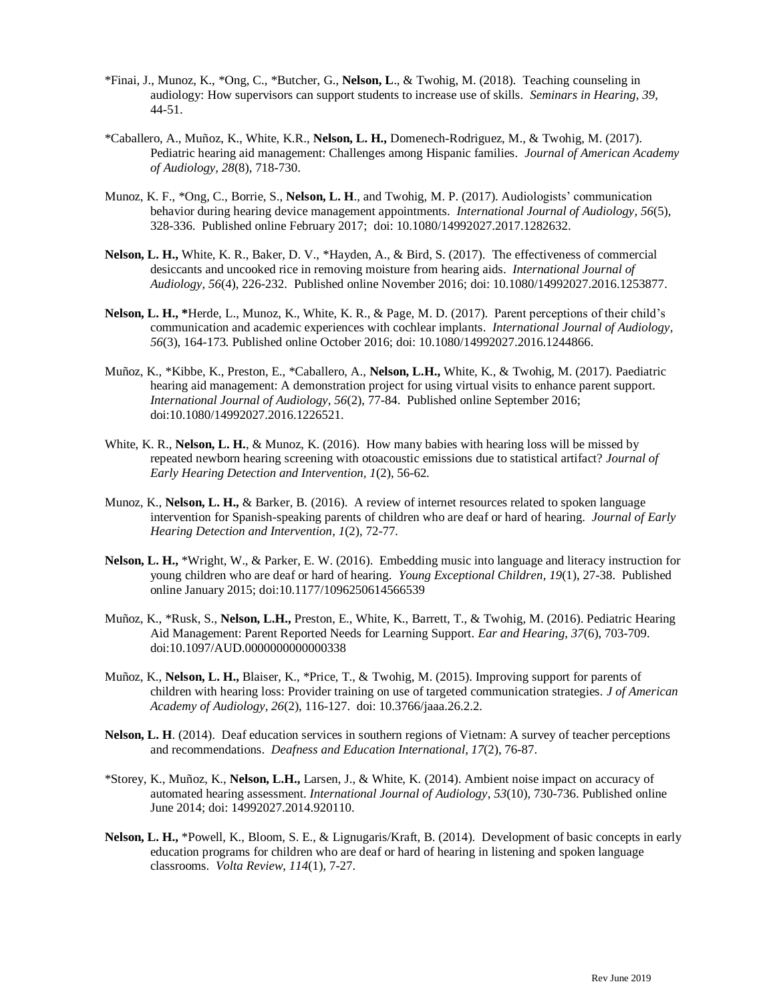- \*Finai, J., Munoz, K., \*Ong, C., \*Butcher, G., **Nelson, L**., & Twohig, M. (2018). Teaching counseling in audiology: How supervisors can support students to increase use of skills. *Seminars in Hearing, 39,* 44-51.
- \*Caballero, A., Muñoz, K., White, K.R., **Nelson, L. H.,** Domenech-Rodriguez, M., & Twohig, M. (2017). Pediatric hearing aid management: Challenges among Hispanic families. *Journal of American Academy of Audiology, 28*(8), 718-730.
- Munoz, K. F., \*Ong, C., Borrie, S., **Nelson, L. H**., and Twohig, M. P. (2017). Audiologists' communication behavior during hearing device management appointments. *International Journal of Audiology, 56*(5), 328-336. Published online February 2017; doi: 10.1080/14992027.2017.1282632.
- **Nelson, L. H.,** White, K. R., Baker, D. V., \*Hayden, A., & Bird, S. (2017). The effectiveness of commercial desiccants and uncooked rice in removing moisture from hearing aids. *International Journal of Audiology, 56*(4), 226-232. Published online November 2016; doi: 10.1080/14992027.2016.1253877.
- **Nelson, L. H., \***Herde, L., Munoz, K., White, K. R., & Page, M. D. (2017). Parent perceptions of their child's communication and academic experiences with cochlear implants. *International Journal of Audiology, 56*(3), 164-173*.* Published online October 2016; doi: 10.1080/14992027.2016.1244866.
- Muñoz, K., \*Kibbe, K., Preston, E., \*Caballero, A., **Nelson, L.H.,** White, K., & Twohig, M. (2017). Paediatric hearing aid management: A demonstration project for using virtual visits to enhance parent support. *International Journal of Audiology, 56*(2), 77-84. Published online September 2016; doi:10.1080/14992027.2016.1226521.
- White, K. R., **Nelson, L. H.**, & Munoz, K. (2016). How many babies with hearing loss will be missed by repeated newborn hearing screening with otoacoustic emissions due to statistical artifact? *Journal of Early Hearing Detection and Intervention, 1*(2), 56-62*.*
- Munoz, K., **Nelson, L. H.,** & Barker, B. (2016). A review of internet resources related to spoken language intervention for Spanish-speaking parents of children who are deaf or hard of hearing. *Journal of Early Hearing Detection and Intervention, 1*(2), 72-77*.*
- **Nelson, L. H.,** \*Wright, W., & Parker, E. W. (2016). Embedding music into language and literacy instruction for young children who are deaf or hard of hearing. *Young Exceptional Children, 19*(1), 27-38. Published online January 2015; doi:10.1177/1096250614566539
- Muñoz, K., \*Rusk, S., **Nelson, L.H.,** Preston, E., White, K., Barrett, T., & Twohig, M. (2016). Pediatric Hearing Aid Management: Parent Reported Needs for Learning Support. *Ear and Hearing, 37*(6), 703-709. doi:10.1097/AUD.0000000000000338
- Muñoz, K., **Nelson, L. H.,** Blaiser, K., \*Price, T., & Twohig, M. (2015). Improving support for parents of children with hearing loss: Provider training on use of targeted communication strategies. *J of American Academy of Audiology, 26*(2), 116-127. doi: 10.3766/jaaa.26.2.2.
- **Nelson, L. H**. (2014). Deaf education services in southern regions of Vietnam: A survey of teacher perceptions and recommendations. *Deafness and Education International, 17*(2), 76-87.
- \*Storey, K., Muñoz, K., **Nelson, L.H.,** Larsen, J., & White, K. (2014). Ambient noise impact on accuracy of automated hearing assessment. *International Journal of Audiology, 53*(10)*,* 730-736. Published online June 2014; doi: 14992027.2014.920110.
- **Nelson, L. H.,** \*Powell, K., Bloom, S. E., & Lignugaris/Kraft, B. (2014). Development of basic concepts in early education programs for children who are deaf or hard of hearing in listening and spoken language classrooms. *Volta Review, 114*(1), 7-27.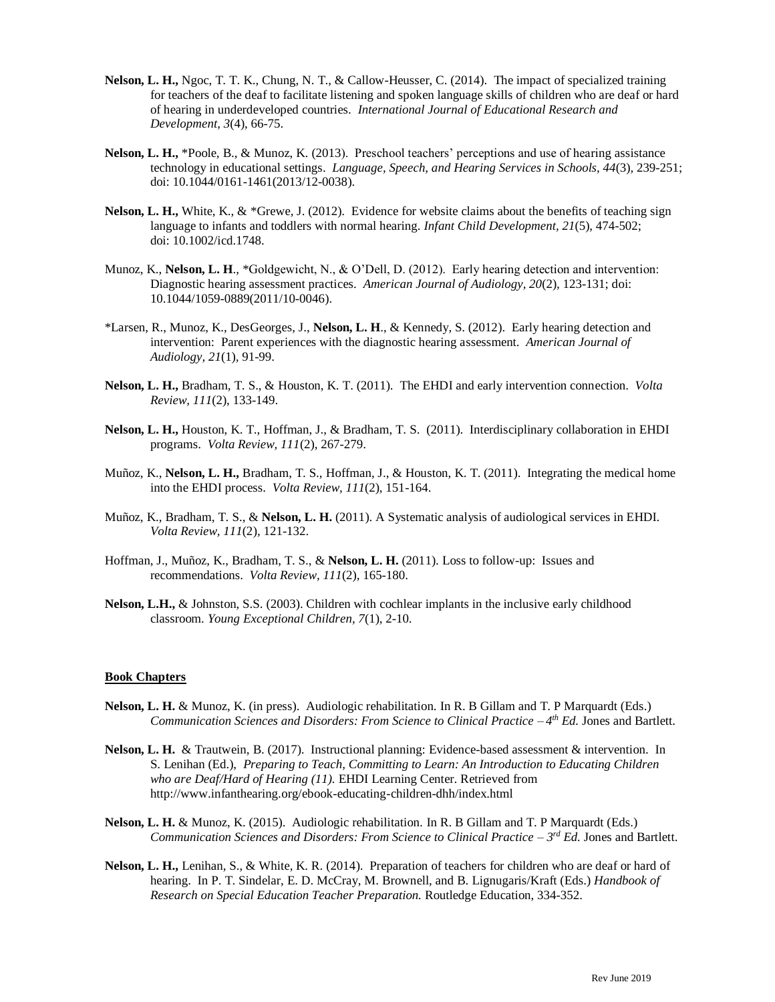- **Nelson, L. H.,** Ngoc, T. T. K., Chung, N. T., & Callow-Heusser, C. (2014). The impact of specialized training for teachers of the deaf to facilitate listening and spoken language skills of children who are deaf or hard of hearing in underdeveloped countries. *International Journal of Educational Research and Development, 3*(4), 66-75.
- **Nelson, L. H.,** \*Poole, B., & Munoz, K. (2013). Preschool teachers' perceptions and use of hearing assistance technology in educational settings. *Language, Speech, and Hearing Services in Schools, 44*(3)*,* 239-251; doi: 10.1044/0161-1461(2013/12-0038).
- **Nelson, L. H.,** White, K., & \*Grewe, J. (2012). Evidence for website claims about the benefits of teaching sign language to infants and toddlers with normal hearing. *Infant Child Development, 21*(5), 474-502; doi: 10.1002/icd.1748.
- Munoz, K., **Nelson, L. H**., \*Goldgewicht, N., & O'Dell, D. (2012). Early hearing detection and intervention: Diagnostic hearing assessment practices. *American Journal of Audiology, 20*(2)*,* 123-131; doi: 10.1044/1059-0889(2011/10-0046).
- \*Larsen, R., Munoz, K., DesGeorges, J., **Nelson, L. H**., & Kennedy, S. (2012). Early hearing detection and intervention: Parent experiences with the diagnostic hearing assessment. *American Journal of Audiology, 21*(1)*,* 91-99.
- **Nelson, L. H.,** Bradham, T. S., & Houston, K. T. (2011). The EHDI and early intervention connection. *Volta Review, 111*(2), 133-149.
- **Nelson, L. H.,** Houston, K. T., Hoffman, J., & Bradham, T. S. (2011). Interdisciplinary collaboration in EHDI programs. *Volta Review, 111*(2), 267-279.
- Muñoz, K., **Nelson, L. H.,** Bradham, T. S., Hoffman, J., & Houston, K. T. (2011). Integrating the medical home into the EHDI process. *Volta Review, 111*(2), 151-164.
- Muñoz, K., Bradham, T. S., & **Nelson, L. H.** (2011). A Systematic analysis of audiological services in EHDI. *Volta Review, 111*(2)*,* 121-132.
- Hoffman, J., Muñoz, K., Bradham, T. S., & **Nelson, L. H.** (2011). Loss to follow-up: Issues and recommendations. *Volta Review, 111*(2)*,* 165-180.
- **Nelson, L.H.,** & Johnston, S.S. (2003). Children with cochlear implants in the inclusive early childhood classroom. *Young Exceptional Children, 7*(1), 2-10.

#### **Book Chapters**

- **Nelson, L. H.** & Munoz, K. (in press). Audiologic rehabilitation*.* In R. B Gillam and T. P Marquardt (Eds.) *Communication Sciences and Disorders: From Science to Clinical Practice – 4 th Ed.* Jones and Bartlett.
- **Nelson, L. H.** & Trautwein, B. (2017). Instructional planning: Evidence-based assessment & intervention. In S. Lenihan (Ed.), *Preparing to Teach, Committing to Learn: An Introduction to Educating Children who are Deaf/Hard of Hearing (11).* EHDI Learning Center. Retrieved from http://www.infanthearing.org/ebook-educating-children-dhh/index.html
- **Nelson, L. H.** & Munoz, K. (2015). Audiologic rehabilitation*.* In R. B Gillam and T. P Marquardt (Eds.) *Communication Sciences and Disorders: From Science to Clinical Practice – 3 rd Ed.* Jones and Bartlett.
- **Nelson, L. H.,** Lenihan, S., & White, K. R. (2014). Preparation of teachers for children who are deaf or hard of hearing. In P. T. Sindelar, E. D. McCray, M. Brownell, and B. Lignugaris/Kraft (Eds.) *Handbook of Research on Special Education Teacher Preparation.* Routledge Education, 334-352.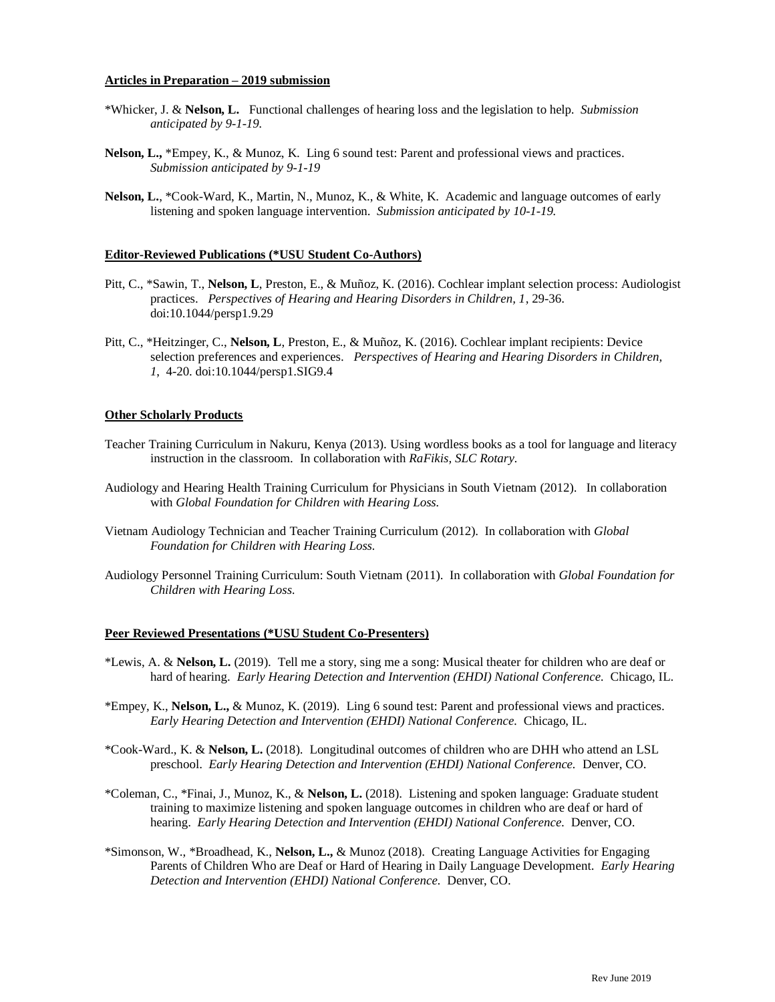#### **Articles in Preparation – 2019 submission**

- \*Whicker, J. & **Nelson, L.** Functional challenges of hearing loss and the legislation to help. *Submission anticipated by 9-1-19.*
- **Nelson, L.,** \*Empey, K., & Munoz, K. Ling 6 sound test: Parent and professional views and practices. *Submission anticipated by 9-1-19*
- **Nelson, L.**, \*Cook-Ward, K., Martin, N., Munoz, K., & White, K. Academic and language outcomes of early listening and spoken language intervention. *Submission anticipated by 10-1-19.*

#### **Editor-Reviewed Publications (\*USU Student Co-Authors)**

- Pitt, C., \*Sawin, T., **Nelson, L**, Preston, E., & Muñoz, K. (2016). Cochlear implant selection process: Audiologist practices. *Perspectives of Hearing and Hearing Disorders in Children, 1*, 29-36. doi:10.1044/persp1.9.29
- Pitt, C., \*Heitzinger, C., **Nelson, L**, Preston, E., & Muñoz, K. (2016). Cochlear implant recipients: Device selection preferences and experiences. *Perspectives of Hearing and Hearing Disorders in Children, 1*, 4-20. doi:10.1044/persp1.SIG9.4

#### **Other Scholarly Products**

- Teacher Training Curriculum in Nakuru, Kenya (2013). Using wordless books as a tool for language and literacy instruction in the classroom. In collaboration with *RaFikis, SLC Rotary.*
- Audiology and Hearing Health Training Curriculum for Physicians in South Vietnam (2012). In collaboration with *Global Foundation for Children with Hearing Loss.*
- Vietnam Audiology Technician and Teacher Training Curriculum (2012). In collaboration with *Global Foundation for Children with Hearing Loss.*
- Audiology Personnel Training Curriculum: South Vietnam (2011). In collaboration with *Global Foundation for Children with Hearing Loss.*

#### **Peer Reviewed Presentations (\*USU Student Co-Presenters)**

- \*Lewis, A. & **Nelson, L.** (2019). Tell me a story, sing me a song: Musical theater for children who are deaf or hard of hearing. *Early Hearing Detection and Intervention (EHDI) National Conference.* Chicago, IL.
- \*Empey, K., **Nelson, L.,** & Munoz, K. (2019). Ling 6 sound test: Parent and professional views and practices. *Early Hearing Detection and Intervention (EHDI) National Conference.* Chicago, IL.
- \*Cook-Ward., K. & **Nelson, L.** (2018).Longitudinal outcomes of children who are DHH who attend an LSL preschool.*Early Hearing Detection and Intervention (EHDI) National Conference.* Denver, CO.
- \*Coleman, C., \*Finai, J., Munoz, K., & **Nelson, L.** (2018). Listening and spoken language: Graduate student training to maximize listening and spoken language outcomes in children who are deaf or hard of hearing. *Early Hearing Detection and Intervention (EHDI) National Conference.* Denver, CO.
- \*Simonson, W., \*Broadhead, K., **Nelson, L.,** & Munoz (2018). Creating Language Activities for Engaging Parents of Children Who are Deaf or Hard of Hearing in Daily Language Development. *Early Hearing Detection and Intervention (EHDI) National Conference.* Denver, CO.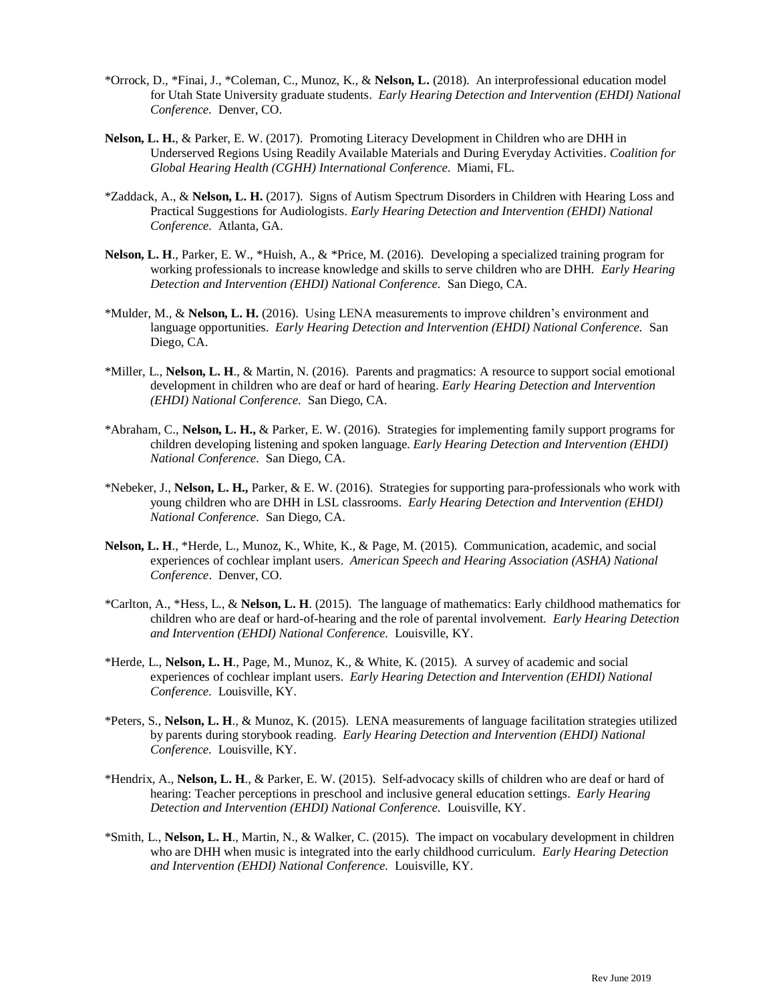- \*Orrock, D., \*Finai, J., \*Coleman, C., Munoz, K., & **Nelson, L.** (2018). An interprofessional education model for Utah State University graduate students. *Early Hearing Detection and Intervention (EHDI) National Conference.* Denver, CO.
- **Nelson, L. H.**, & Parker, E. W. (2017). Promoting Literacy Development in Children who are DHH in Underserved Regions Using Readily Available Materials and During Everyday Activities. *Coalition for Global Hearing Health (CGHH) International Conference.* Miami, FL.
- \*Zaddack, A., & **Nelson, L. H.** (2017). Signs of Autism Spectrum Disorders in Children with Hearing Loss and Practical Suggestions for Audiologists. *Early Hearing Detection and Intervention (EHDI) National Conference.* Atlanta, GA.
- **Nelson, L. H**., Parker, E. W., \*Huish, A., & \*Price, M. (2016). Developing a specialized training program for working professionals to increase knowledge and skills to serve children who are DHH. *Early Hearing Detection and Intervention (EHDI) National Conference.* San Diego, CA.
- \*Mulder, M., & **Nelson, L. H.** (2016). Using LENA measurements to improve children's environment and language opportunities. *Early Hearing Detection and Intervention (EHDI) National Conference.* San Diego, CA.
- \*Miller, L., **Nelson, L. H**., & Martin, N. (2016). Parents and pragmatics: A resource to support social emotional development in children who are deaf or hard of hearing. *Early Hearing Detection and Intervention (EHDI) National Conference.* San Diego, CA.
- \*Abraham, C., **Nelson, L. H.,** & Parker, E. W. (2016). Strategies for implementing family support programs for children developing listening and spoken language. *Early Hearing Detection and Intervention (EHDI) National Conference.* San Diego, CA.
- \*Nebeker, J., **Nelson, L. H.,** Parker, & E. W. (2016). Strategies for supporting para-professionals who work with young children who are DHH in LSL classrooms. *Early Hearing Detection and Intervention (EHDI) National Conference.* San Diego, CA.
- **Nelson, L. H**., \*Herde, L., Munoz, K., White, K., & Page, M. (2015). Communication, academic, and social experiences of cochlear implant users. *American Speech and Hearing Association (ASHA) National Conference*. Denver, CO.
- \*Carlton, A., \*Hess, L., & **Nelson, L. H**. (2015). The language of mathematics: Early childhood mathematics for children who are deaf or hard-of-hearing and the role of parental involvement. *Early Hearing Detection and Intervention (EHDI) National Conference.* Louisville, KY.
- \*Herde, L., **Nelson, L. H**., Page, M., Munoz, K., & White, K. (2015). A survey of academic and social experiences of cochlear implant users. *Early Hearing Detection and Intervention (EHDI) National Conference.* Louisville, KY.
- \*Peters, S., **Nelson, L. H**., & Munoz, K. (2015). LENA measurements of language facilitation strategies utilized by parents during storybook reading. *Early Hearing Detection and Intervention (EHDI) National Conference.* Louisville, KY.
- \*Hendrix, A., **Nelson, L. H**., & Parker, E. W. (2015). Self-advocacy skills of children who are deaf or hard of hearing: Teacher perceptions in preschool and inclusive general education settings. *Early Hearing Detection and Intervention (EHDI) National Conference.* Louisville, KY.
- \*Smith, L., **Nelson, L. H**., Martin, N., & Walker, C. (2015). The impact on vocabulary development in children who are DHH when music is integrated into the early childhood curriculum. *Early Hearing Detection and Intervention (EHDI) National Conference.* Louisville, KY.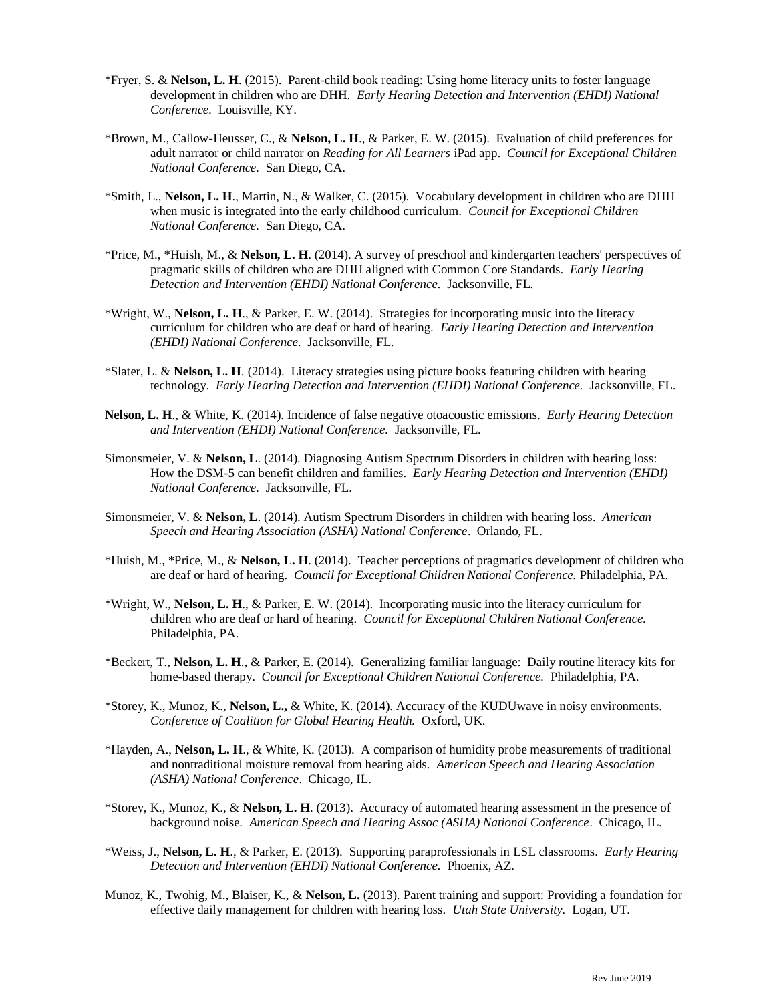- \*Fryer, S. & **Nelson, L. H**. (2015). Parent-child book reading: Using home literacy units to foster language development in children who are DHH. *Early Hearing Detection and Intervention (EHDI) National Conference.* Louisville, KY.
- \*Brown, M., Callow-Heusser, C., & **Nelson, L. H**., & Parker, E. W. (2015). Evaluation of child preferences for adult narrator or child narrator on *Reading for All Learners* iPad app. *Council for Exceptional Children National Conference.* San Diego, CA.
- \*Smith, L., **Nelson, L. H**., Martin, N., & Walker, C. (2015). Vocabulary development in children who are DHH when music is integrated into the early childhood curriculum. *Council for Exceptional Children National Conference.* San Diego, CA.
- \*Price, M., \*Huish, M., & **Nelson, L. H**. (2014). A survey of preschool and kindergarten teachers' perspectives of pragmatic skills of children who are DHH aligned with Common Core Standards. *Early Hearing Detection and Intervention (EHDI) National Conference.* Jacksonville, FL.
- \*Wright, W., **Nelson, L. H**., & Parker, E. W. (2014). Strategies for incorporating music into the literacy curriculum for children who are deaf or hard of hearing. *Early Hearing Detection and Intervention (EHDI) National Conference.* Jacksonville, FL.
- \*Slater, L. & **Nelson, L. H**. (2014). Literacy strategies using picture books featuring children with hearing technology. *Early Hearing Detection and Intervention (EHDI) National Conference.* Jacksonville, FL.
- **Nelson, L. H**., & White, K. (2014). Incidence of false negative otoacoustic emissions. *Early Hearing Detection and Intervention (EHDI) National Conference.* Jacksonville, FL.
- Simonsmeier, V. & **Nelson, L**. (2014). Diagnosing Autism Spectrum Disorders in children with hearing loss: How the DSM-5 can benefit children and families. *Early Hearing Detection and Intervention (EHDI) National Conference.* Jacksonville, FL.
- Simonsmeier, V. & **Nelson, L**. (2014). Autism Spectrum Disorders in children with hearing loss. *American Speech and Hearing Association (ASHA) National Conference*. Orlando, FL.
- \*Huish, M., \*Price, M., & **Nelson, L. H**. (2014). Teacher perceptions of pragmatics development of children who are deaf or hard of hearing. *Council for Exceptional Children National Conference.* Philadelphia, PA.
- \*Wright, W., **Nelson, L. H**., & Parker, E. W. (2014). Incorporating music into the literacy curriculum for children who are deaf or hard of hearing. *Council for Exceptional Children National Conference.* Philadelphia, PA.
- \*Beckert, T., **Nelson, L. H**., & Parker, E. (2014). Generalizing familiar language: Daily routine literacy kits for home-based therapy. *Council for Exceptional Children National Conference.* Philadelphia, PA.
- \*Storey, K., Munoz, K., **Nelson, L.,** & White, K. (2014). Accuracy of the KUDUwave in noisy environments. *Conference of Coalition for Global Hearing Health.* Oxford, UK.
- \*Hayden, A., **Nelson, L. H**., & White, K. (2013). A comparison of humidity probe measurements of traditional and nontraditional moisture removal from hearing aids. *American Speech and Hearing Association (ASHA) National Conference*. Chicago, IL.
- \*Storey, K., Munoz, K., & **Nelson, L. H**. (2013). Accuracy of automated hearing assessment in the presence of background noise. *American Speech and Hearing Assoc (ASHA) National Conference*. Chicago, IL.
- \*Weiss, J., **Nelson, L. H**., & Parker, E. (2013). Supporting paraprofessionals in LSL classrooms. *Early Hearing Detection and Intervention (EHDI) National Conference.* Phoenix, AZ.
- Munoz, K., Twohig, M., Blaiser, K., & **Nelson, L.** (2013). Parent training and support: Providing a foundation for effective daily management for children with hearing loss. *Utah State University.* Logan, UT.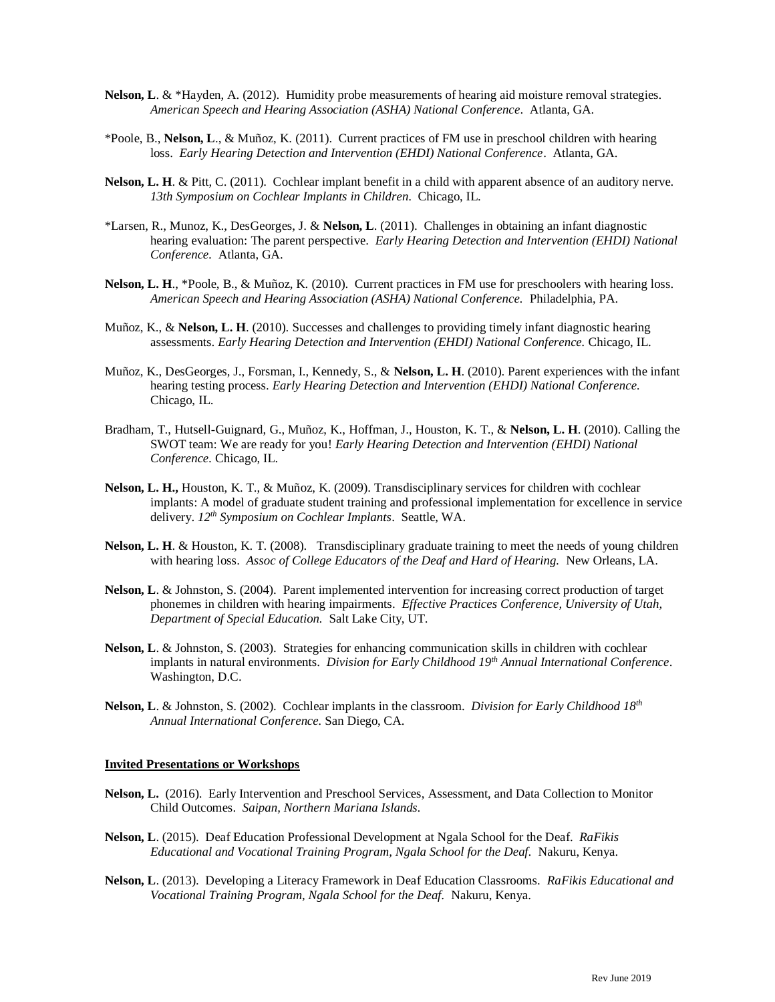- **Nelson, L**. & \*Hayden, A. (2012). Humidity probe measurements of hearing aid moisture removal strategies. *American Speech and Hearing Association (ASHA) National Conference*. Atlanta, GA.
- \*Poole, B., **Nelson, L**., & Muñoz, K. (2011). Current practices of FM use in preschool children with hearing loss. *Early Hearing Detection and Intervention (EHDI) National Conference*. Atlanta, GA.
- **Nelson, L. H**. & Pitt, C. (2011). Cochlear implant benefit in a child with apparent absence of an auditory nerve. *13th Symposium on Cochlear Implants in Children.* Chicago, IL.
- \*Larsen, R., Munoz, K., DesGeorges, J. & **Nelson, L**. (2011). Challenges in obtaining an infant diagnostic hearing evaluation: The parent perspective. *Early Hearing Detection and Intervention (EHDI) National Conference.* Atlanta, GA.
- **Nelson, L. H**., \*Poole, B., & Muñoz, K. (2010). Current practices in FM use for preschoolers with hearing loss. *American Speech and Hearing Association (ASHA) National Conference.* Philadelphia, PA.
- Muñoz, K., & **Nelson, L. H**. (2010). Successes and challenges to providing timely infant diagnostic hearing assessments. *Early Hearing Detection and Intervention (EHDI) National Conference.* Chicago, IL.
- Muñoz, K., DesGeorges, J., Forsman, I., Kennedy, S., & **Nelson, L. H**. (2010). Parent experiences with the infant hearing testing process. *Early Hearing Detection and Intervention (EHDI) National Conference.*  Chicago, IL.
- Bradham, T., Hutsell-Guignard, G., Muñoz, K., Hoffman, J., Houston, K. T., & **Nelson, L. H**. (2010). Calling the SWOT team: We are ready for you! *Early Hearing Detection and Intervention (EHDI) National Conference.* Chicago, IL.
- **Nelson, L. H.,** Houston, K. T., & Muñoz, K. (2009). Transdisciplinary services for children with cochlear implants: A model of graduate student training and professional implementation for excellence in service delivery. *12th Symposium on Cochlear Implants*. Seattle, WA.
- **Nelson, L. H**. & Houston, K. T. (2008). Transdisciplinary graduate training to meet the needs of young children with hearing loss. *Assoc of College Educators of the Deaf and Hard of Hearing.* New Orleans, LA.
- **Nelson, L**. & Johnston, S. (2004). Parent implemented intervention for increasing correct production of target phonemes in children with hearing impairments. *Effective Practices Conference, University of Utah, Department of Special Education.* Salt Lake City, UT.
- **Nelson, L**. & Johnston, S. (2003). Strategies for enhancing communication skills in children with cochlear implants in natural environments. *Division for Early Childhood 19th Annual International Conference*. Washington, D.C.
- **Nelson, L**. & Johnston, S. (2002). Cochlear implants in the classroom. *Division for Early Childhood 18th Annual International Conference.* San Diego, CA.

#### **Invited Presentations or Workshops**

- **Nelson, L.** (2016). Early Intervention and Preschool Services, Assessment, and Data Collection to Monitor Child Outcomes. *Saipan, Northern Mariana Islands.*
- **Nelson, L**. (2015). Deaf Education Professional Development at Ngala School for the Deaf. *RaFikis Educational and Vocational Training Program, Ngala School for the Deaf.* Nakuru, Kenya.
- **Nelson, L**. (2013). Developing a Literacy Framework in Deaf Education Classrooms. *RaFikis Educational and Vocational Training Program, Ngala School for the Deaf.* Nakuru, Kenya.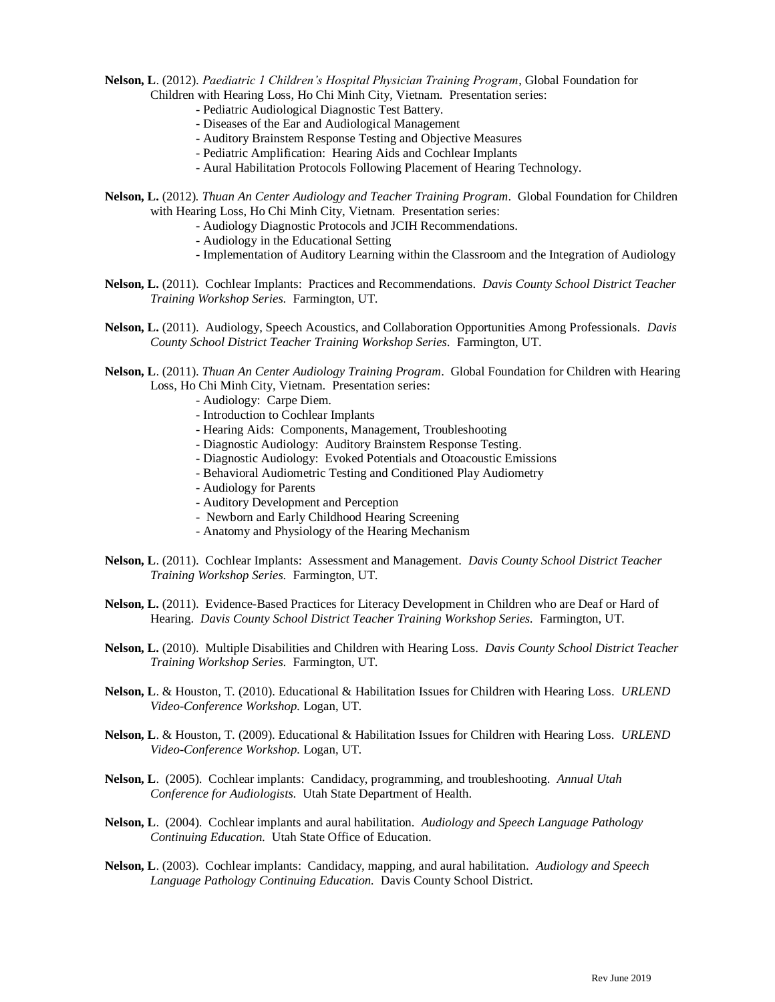**Nelson, L**. (2012). *Paediatric 1 Children's Hospital Physician Training Program*, Global Foundation for Children with Hearing Loss, Ho Chi Minh City, Vietnam*.* Presentation series:

- Pediatric Audiological Diagnostic Test Battery.
- Diseases of the Ear and Audiological Management
- Auditory Brainstem Response Testing and Objective Measures
- Pediatric Amplification: Hearing Aids and Cochlear Implants
- Aural Habilitation Protocols Following Placement of Hearing Technology.
- **Nelson, L.** (2012)*. Thuan An Center Audiology and Teacher Training Program*. Global Foundation for Children with Hearing Loss, Ho Chi Minh City, Vietnam*.* Presentation series:
	- Audiology Diagnostic Protocols and JCIH Recommendations.
	- Audiology in the Educational Setting
	- Implementation of Auditory Learning within the Classroom and the Integration of Audiology
- **Nelson, L.** (2011). Cochlear Implants: Practices and Recommendations. *Davis County School District Teacher Training Workshop Series.* Farmington, UT.
- **Nelson, L.** (2011). Audiology, Speech Acoustics, and Collaboration Opportunities Among Professionals. *Davis County School District Teacher Training Workshop Series.* Farmington, UT.
- **Nelson, L**. (2011). *Thuan An Center Audiology Training Program*. Global Foundation for Children with Hearing Loss, Ho Chi Minh City, Vietnam*.* Presentation series:
	- Audiology: Carpe Diem.
	- Introduction to Cochlear Implants
	- Hearing Aids: Components, Management, Troubleshooting
	- Diagnostic Audiology: Auditory Brainstem Response Testing.
	- Diagnostic Audiology: Evoked Potentials and Otoacoustic Emissions
	- Behavioral Audiometric Testing and Conditioned Play Audiometry
	- Audiology for Parents
	- Auditory Development and Perception
	- Newborn and Early Childhood Hearing Screening
	- Anatomy and Physiology of the Hearing Mechanism
- **Nelson, L**. (2011). Cochlear Implants: Assessment and Management. *Davis County School District Teacher Training Workshop Series.* Farmington, UT.
- **Nelson, L.** (2011). Evidence-Based Practices for Literacy Development in Children who are Deaf or Hard of Hearing. *Davis County School District Teacher Training Workshop Series.* Farmington, UT.
- **Nelson, L.** (2010). Multiple Disabilities and Children with Hearing Loss. *Davis County School District Teacher Training Workshop Series.* Farmington, UT.
- **Nelson, L**. & Houston, T. (2010). Educational & Habilitation Issues for Children with Hearing Loss. *URLEND Video-Conference Workshop.* Logan, UT.
- **Nelson, L**. & Houston, T. (2009). Educational & Habilitation Issues for Children with Hearing Loss. *URLEND Video-Conference Workshop.* Logan, UT.
- **Nelson, L**. (2005). Cochlear implants: Candidacy, programming, and troubleshooting. *Annual Utah Conference for Audiologists.* Utah State Department of Health.
- **Nelson, L**. (2004). Cochlear implants and aural habilitation. *Audiology and Speech Language Pathology Continuing Education.* Utah State Office of Education.
- **Nelson, L**. (2003). Cochlear implants: Candidacy, mapping, and aural habilitation. *Audiology and Speech Language Pathology Continuing Education.* Davis County School District.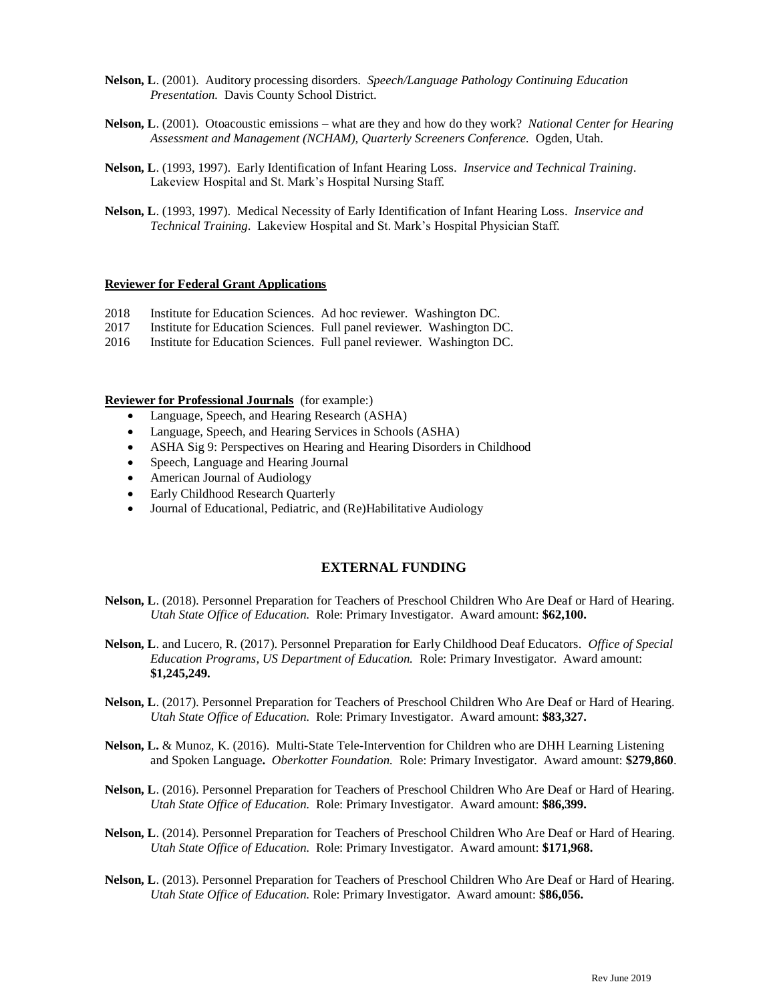- **Nelson, L**. (2001). Auditory processing disorders. *Speech/Language Pathology Continuing Education Presentation.* Davis County School District.
- **Nelson, L**. (2001). Otoacoustic emissions what are they and how do they work? *National Center for Hearing Assessment and Management (NCHAM), Quarterly Screeners Conference.* Ogden, Utah.
- **Nelson, L**. (1993, 1997). Early Identification of Infant Hearing Loss. *Inservice and Technical Training*. Lakeview Hospital and St. Mark's Hospital Nursing Staff.
- **Nelson, L**. (1993, 1997). Medical Necessity of Early Identification of Infant Hearing Loss. *Inservice and Technical Training*. Lakeview Hospital and St. Mark's Hospital Physician Staff.

#### **Reviewer for Federal Grant Applications**

- 2018 Institute for Education Sciences. Ad hoc reviewer. Washington DC.
- 2017 Institute for Education Sciences. Full panel reviewer. Washington DC.
- 2016 Institute for Education Sciences. Full panel reviewer. Washington DC.

#### **Reviewer for Professional Journals** (for example:)

- Language, Speech, and Hearing Research (ASHA)
- Language, Speech, and Hearing Services in Schools (ASHA)
- ASHA Sig 9: Perspectives on Hearing and Hearing Disorders in Childhood
- Speech, Language and Hearing Journal
- American Journal of Audiology
- Early Childhood Research Quarterly
- Journal of Educational, Pediatric, and (Re)Habilitative Audiology

#### **EXTERNAL FUNDING**

- **Nelson, L**. (2018). Personnel Preparation for Teachers of Preschool Children Who Are Deaf or Hard of Hearing. *Utah State Office of Education.* Role: Primary Investigator. Award amount: **\$62,100.**
- **Nelson, L**. and Lucero, R. (2017). Personnel Preparation for Early Childhood Deaf Educators. *Office of Special Education Programs, US Department of Education.* Role: Primary Investigator. Award amount: **\$1,245,249.**
- **Nelson, L**. (2017). Personnel Preparation for Teachers of Preschool Children Who Are Deaf or Hard of Hearing. *Utah State Office of Education.* Role: Primary Investigator. Award amount: **\$83,327.**
- **Nelson, L.** & Munoz, K. (2016). Multi-State Tele-Intervention for Children who are DHH Learning Listening and Spoken Language**.** *Oberkotter Foundation.* Role: Primary Investigator. Award amount: **\$279,860**.
- **Nelson, L**. (2016). Personnel Preparation for Teachers of Preschool Children Who Are Deaf or Hard of Hearing. *Utah State Office of Education.* Role: Primary Investigator. Award amount: **\$86,399.**
- **Nelson, L**. (2014). Personnel Preparation for Teachers of Preschool Children Who Are Deaf or Hard of Hearing. *Utah State Office of Education.* Role: Primary Investigator. Award amount: **\$171,968.**
- **Nelson, L**. (2013). Personnel Preparation for Teachers of Preschool Children Who Are Deaf or Hard of Hearing. *Utah State Office of Education.* Role: Primary Investigator. Award amount: **\$86,056.**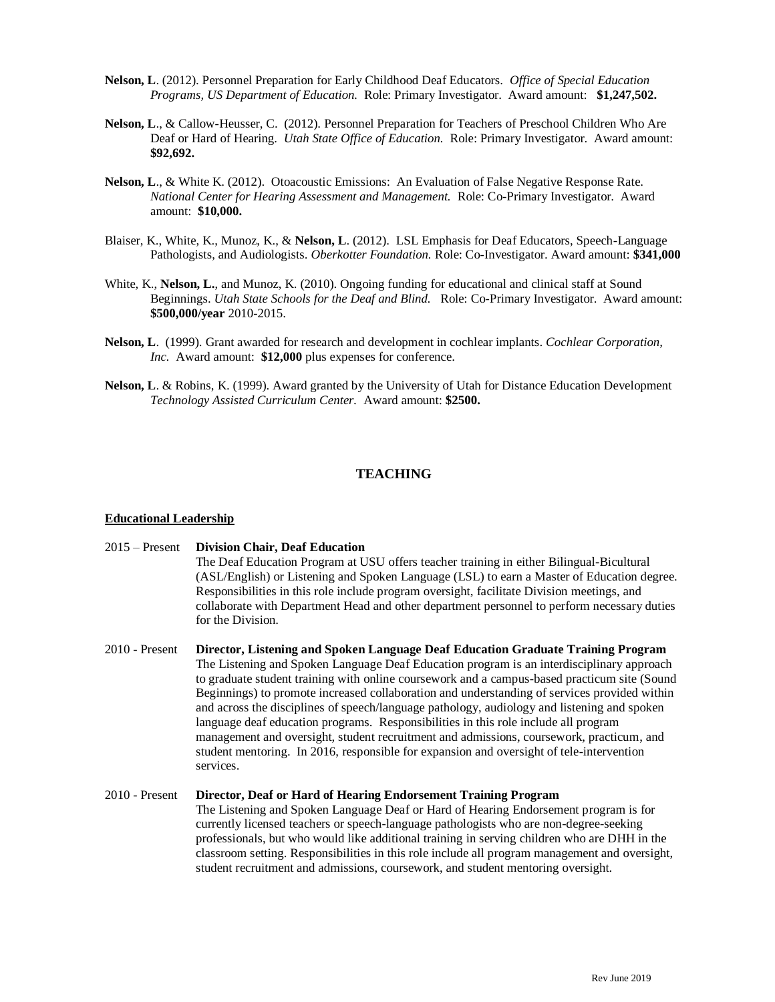- **Nelson, L**. (2012). Personnel Preparation for Early Childhood Deaf Educators. *Office of Special Education Programs, US Department of Education.* Role: Primary Investigator. Award amount:**\$1,247,502.**
- **Nelson, L**., & Callow-Heusser, C. (2012). Personnel Preparation for Teachers of Preschool Children Who Are Deaf or Hard of Hearing. *Utah State Office of Education.* Role: Primary Investigator. Award amount: **\$92,692.**
- **Nelson, L**., & White K. (2012). Otoacoustic Emissions: An Evaluation of False Negative Response Rate. *National Center for Hearing Assessment and Management.* Role: Co-Primary Investigator. Award amount: **\$10,000.**
- Blaiser, K., White, K., Munoz, K., & **Nelson, L**. (2012). LSL Emphasis for Deaf Educators, Speech-Language Pathologists, and Audiologists. *Oberkotter Foundation.* Role: Co-Investigator. Award amount: **\$341,000**
- White, K., **Nelson, L.**, and Munoz, K. (2010). Ongoing funding for educational and clinical staff at Sound Beginnings. *Utah State Schools for the Deaf and Blind.* Role: Co-Primary Investigator. Award amount: **\$500,000/year** 2010-2015.
- **Nelson, L**. (1999). Grant awarded for research and development in cochlear implants. *Cochlear Corporation, Inc.* Award amount: **\$12,000** plus expenses for conference.
- **Nelson, L**. & Robins, K. (1999). Award granted by the University of Utah for Distance Education Development *Technology Assisted Curriculum Center.* Award amount: **\$2500.**

# **TEACHING**

#### **Educational Leadership**

- 2015 Present **Division Chair, Deaf Education** The Deaf Education Program at USU offers teacher training in either Bilingual-Bicultural (ASL/English) or Listening and Spoken Language (LSL) to earn a Master of Education degree. Responsibilities in this role include program oversight, facilitate Division meetings, and collaborate with Department Head and other department personnel to perform necessary duties for the Division.
- 2010 Present **Director, Listening and Spoken Language Deaf Education Graduate Training Program**  The Listening and Spoken Language Deaf Education program is an interdisciplinary approach to graduate student training with online coursework and a campus-based practicum site (Sound Beginnings) to promote increased collaboration and understanding of services provided within and across the disciplines of speech/language pathology, audiology and listening and spoken language deaf education programs. Responsibilities in this role include all program management and oversight, student recruitment and admissions, coursework, practicum, and student mentoring. In 2016, responsible for expansion and oversight of tele-intervention services.

### 2010 - Present **Director, Deaf or Hard of Hearing Endorsement Training Program** The Listening and Spoken Language Deaf or Hard of Hearing Endorsement program is for currently licensed teachers or speech-language pathologists who are non-degree-seeking professionals, but who would like additional training in serving children who are DHH in the classroom setting. Responsibilities in this role include all program management and oversight, student recruitment and admissions, coursework, and student mentoring oversight.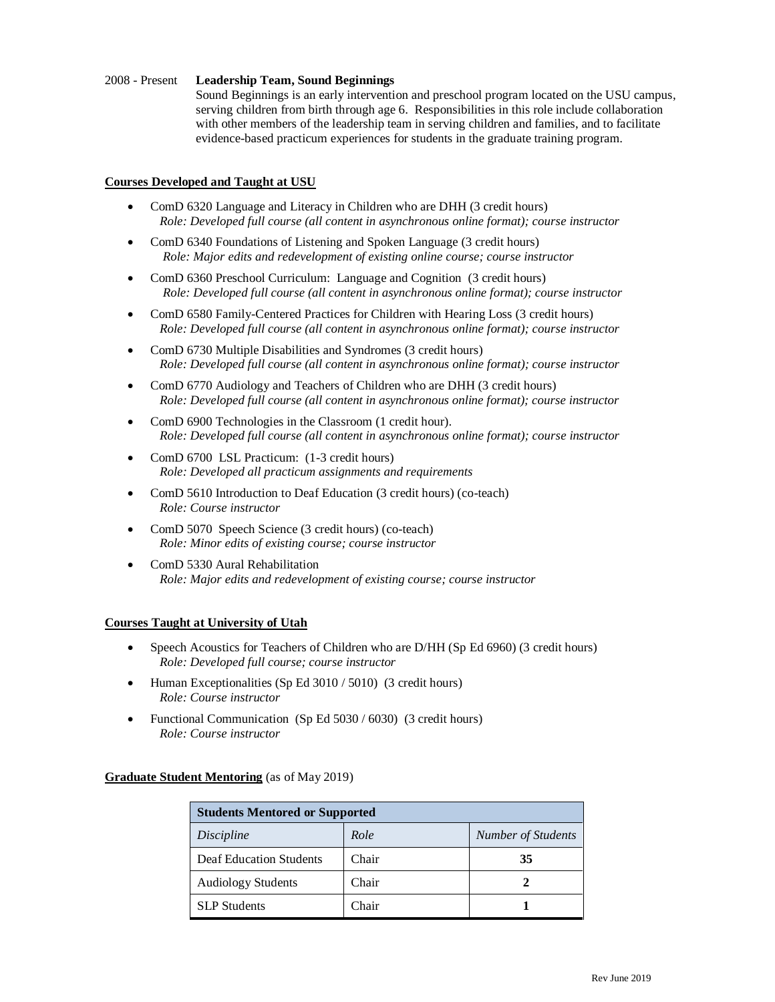### 2008 - Present **Leadership Team, Sound Beginnings**

Sound Beginnings is an early intervention and preschool program located on the USU campus, serving children from birth through age 6. Responsibilities in this role include collaboration with other members of the leadership team in serving children and families, and to facilitate evidence-based practicum experiences for students in the graduate training program.

### **Courses Developed and Taught at USU**

- ComD 6320 Language and Literacy in Children who are DHH (3 credit hours)  *Role: Developed full course (all content in asynchronous online format); course instructor*
- ComD 6340 Foundations of Listening and Spoken Language (3 credit hours)  *Role: Major edits and redevelopment of existing online course; course instructor*
- ComD 6360 Preschool Curriculum: Language and Cognition (3 credit hours)  *Role: Developed full course (all content in asynchronous online format); course instructor*
- ComD 6580 Family-Centered Practices for Children with Hearing Loss (3 credit hours)  *Role: Developed full course (all content in asynchronous online format); course instructor*
- ComD 6730 Multiple Disabilities and Syndromes (3 credit hours)  *Role: Developed full course (all content in asynchronous online format); course instructor*
- ComD 6770 Audiology and Teachers of Children who are DHH (3 credit hours)  *Role: Developed full course (all content in asynchronous online format); course instructor*
- ComD 6900 Technologies in the Classroom (1 credit hour).  *Role: Developed full course (all content in asynchronous online format); course instructor*
- ComD 6700 LSL Practicum: (1-3 credit hours)  *Role: Developed all practicum assignments and requirements*
- ComD 5610 Introduction to Deaf Education (3 credit hours) (co-teach)  *Role: Course instructor*
- ComD 5070 Speech Science (3 credit hours) (co-teach)  *Role: Minor edits of existing course; course instructor*
- ComD 5330 Aural Rehabilitation  *Role: Major edits and redevelopment of existing course; course instructor*

### **Courses Taught at University of Utah**

- Speech Acoustics for Teachers of Children who are D/HH (Sp Ed 6960) (3 credit hours)  *Role: Developed full course; course instructor*
- Human Exceptionalities (Sp Ed 3010 / 5010) (3 credit hours)  *Role: Course instructor*
- Functional Communication (Sp Ed 5030 / 6030) (3 credit hours)  *Role: Course instructor*

**Graduate Student Mentoring** (as of May 2019)

| <b>Students Mentored or Supported</b> |       |                           |
|---------------------------------------|-------|---------------------------|
| Discipline                            | Role  | <b>Number of Students</b> |
| <b>Deaf Education Students</b>        | Chair | 35                        |
| <b>Audiology Students</b>             | Chair |                           |
| <b>SLP</b> Students                   | Chair |                           |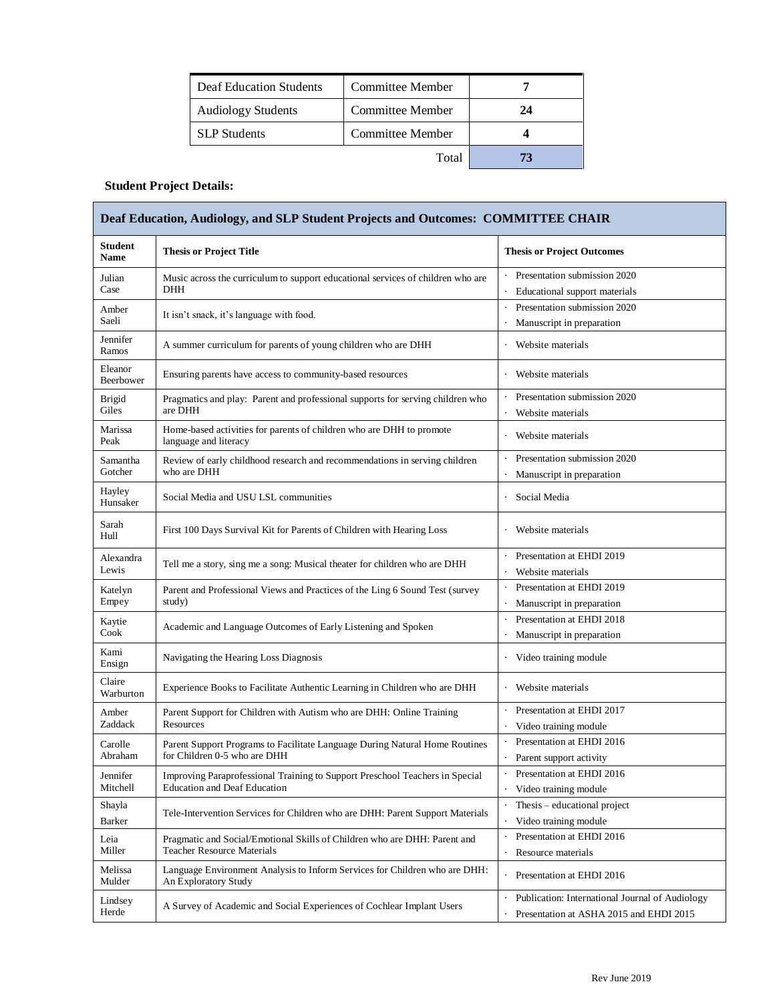| Deaf Education Students   | Committee Member |    |
|---------------------------|------------------|----|
| <b>Audiology Students</b> | Committee Member | 24 |
| <b>SLP</b> Students       | Committee Member |    |
|                           | Total            |    |

# **Student Project Details:**

| <b>Student</b><br><b>Name</b> | <b>Thesis or Project Title</b>                                                                                      | <b>Thesis or Project Outcomes</b>                                                                     |
|-------------------------------|---------------------------------------------------------------------------------------------------------------------|-------------------------------------------------------------------------------------------------------|
| Julian<br>Case                | Music across the curriculum to support educational services of children who are<br>DHH                              | Presentation submission 2020<br>Educational support materials                                         |
| Amber<br>Saeli                | It isn't snack, it's language with food.                                                                            | Presentation submission 2020<br>Manuscript in preparation                                             |
| Jennifer<br>Ramos             | A summer curriculum for parents of young children who are DHH                                                       | Website materials                                                                                     |
| Eleanor<br>Beerbower          | Ensuring parents have access to community-based resources                                                           | Website materials                                                                                     |
| <b>Brigid</b><br>Giles        | Pragmatics and play: Parent and professional supports for serving children who<br>are DHH                           | Presentation submission 2020<br>Website materials<br>$\ddot{\phantom{0}}$                             |
| Marissa<br>Peak               | Home-based activities for parents of children who are DHH to promote<br>language and literacy                       | Website materials                                                                                     |
| Samantha<br>Gotcher           | Review of early childhood research and recommendations in serving children<br>who are DHH                           | Presentation submission 2020<br>Manuscript in preparation                                             |
| Hayley<br>Hunsaker            | Social Media and USU LSL communities                                                                                | Social Media                                                                                          |
| Sarah<br>Hull                 | First 100 Days Survival Kit for Parents of Children with Hearing Loss                                               | Website materials                                                                                     |
| Alexandra<br>Lewis            | Tell me a story, sing me a song: Musical theater for children who are DHH                                           | Presentation at EHDI 2019<br>Website materials                                                        |
| Katelyn<br>Empey              | Parent and Professional Views and Practices of the Ling 6 Sound Test (survey<br>study)                              | Presentation at EHDI 2019<br>$\ddot{\phantom{0}}$<br>Manuscript in preparation                        |
| Kaytie<br>Cook                | Academic and Language Outcomes of Early Listening and Spoken                                                        | Presentation at EHDI 2018<br>Manuscript in preparation                                                |
| Kami<br>Ensign                | Navigating the Hearing Loss Diagnosis                                                                               | Video training module                                                                                 |
| Claire<br>Warburton           | Experience Books to Facilitate Authentic Learning in Children who are DHH                                           | Website materials                                                                                     |
| Amber<br>Zaddack              | Parent Support for Children with Autism who are DHH: Online Training<br><b>Resources</b>                            | Presentation at EHDI 2017<br>Video training module                                                    |
| Carolle<br>Abraham            | Parent Support Programs to Facilitate Language During Natural Home Routines<br>for Children 0-5 who are DHH         | Presentation at EHDI 2016<br>Parent support activity                                                  |
| Jennifer<br>Mitchell          | Improving Paraprofessional Training to Support Preschool Teachers in Special<br><b>Education and Deaf Education</b> | Presentation at EHDI 2016<br>Video training module                                                    |
| Shayla<br>Barker              | Tele-Intervention Services for Children who are DHH: Parent Support Materials                                       | Thesis – educational project<br>Video training module                                                 |
| Leia<br>Miller                | Pragmatic and Social/Emotional Skills of Children who are DHH: Parent and<br><b>Teacher Resource Materials</b>      | Presentation at EHDI 2016<br>Resource materials                                                       |
| Melissa<br>Mulder             | Language Environment Analysis to Inform Services for Children who are DHH:<br>An Exploratory Study                  | Presentation at EHDI 2016                                                                             |
| Lindsey<br>Herde              | A Survey of Academic and Social Experiences of Cochlear Implant Users                                               | Publication: International Journal of Audiology<br>$\cdot$<br>Presentation at ASHA 2015 and EHDI 2015 |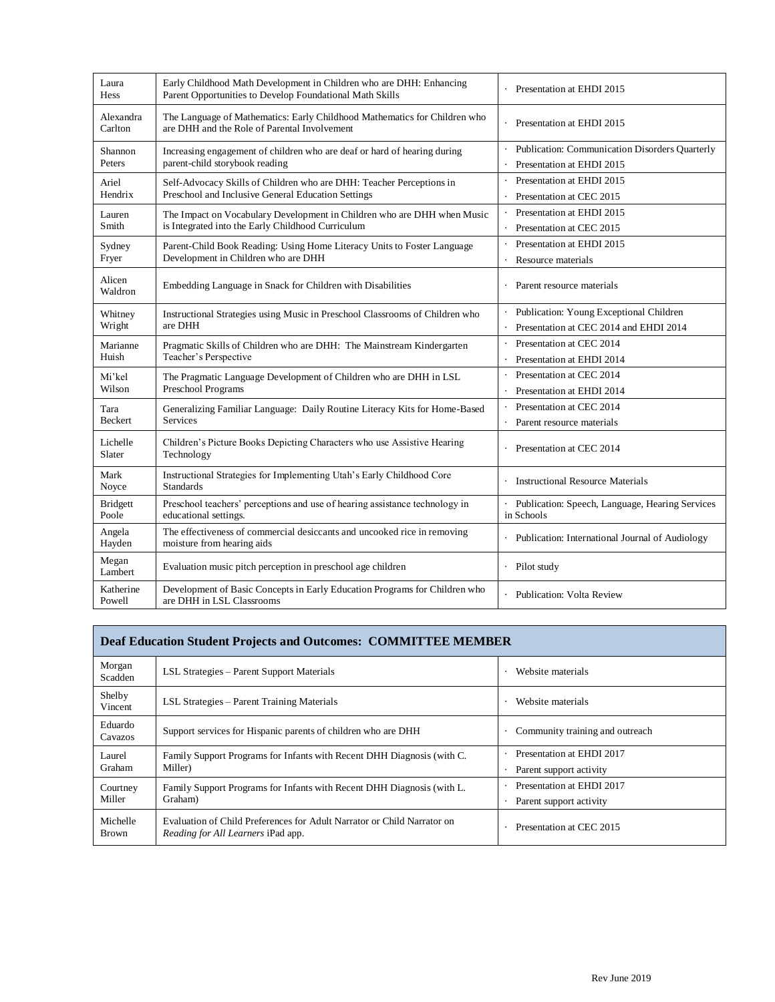| Laura<br>Hess        | Early Childhood Math Development in Children who are DHH: Enhancing<br>Parent Opportunities to Develop Foundational Math Skills | Presentation at EHDI 2015                       |
|----------------------|---------------------------------------------------------------------------------------------------------------------------------|-------------------------------------------------|
| Alexandra<br>Carlton | The Language of Mathematics: Early Childhood Mathematics for Children who<br>are DHH and the Role of Parental Involvement       | Presentation at EHDI 2015                       |
| Shannon              | Increasing engagement of children who are deaf or hard of hearing during                                                        | Publication: Communication Disorders Quarterly  |
| Peters               | parent-child storybook reading                                                                                                  | Presentation at EHDI 2015                       |
| Ariel                | Self-Advocacy Skills of Children who are DHH: Teacher Perceptions in                                                            | Presentation at EHDI 2015                       |
| Hendrix              | Preschool and Inclusive General Education Settings                                                                              | Presentation at CEC 2015                        |
| Lauren               | The Impact on Vocabulary Development in Children who are DHH when Music                                                         | Presentation at EHDI 2015                       |
| Smith                | is Integrated into the Early Childhood Curriculum                                                                               | Presentation at CEC 2015                        |
| Sydney               | Parent-Child Book Reading: Using Home Literacy Units to Foster Language                                                         | Presentation at EHDI 2015                       |
| Fryer                | Development in Children who are DHH                                                                                             | Resource materials                              |
| Alicen<br>Waldron    | Embedding Language in Snack for Children with Disabilities                                                                      | Parent resource materials                       |
| Whitney              | Instructional Strategies using Music in Preschool Classrooms of Children who                                                    | Publication: Young Exceptional Children         |
| Wright               | are DHH                                                                                                                         | Presentation at CEC 2014 and EHDI 2014          |
| Marianne             | Pragmatic Skills of Children who are DHH: The Mainstream Kindergarten                                                           | Presentation at CEC 2014                        |
| Huish                | Teacher's Perspective                                                                                                           | Presentation at EHDI 2014                       |
| Mi'kel               | The Pragmatic Language Development of Children who are DHH in LSL                                                               | Presentation at CEC 2014                        |
| Wilson               | Preschool Programs                                                                                                              | Presentation at EHDI 2014                       |
| Tara                 | Generalizing Familiar Language: Daily Routine Literacy Kits for Home-Based                                                      | Presentation at CEC 2014                        |
| <b>Beckert</b>       | <b>Services</b>                                                                                                                 | Parent resource materials                       |
| Lichelle<br>Slater   | Children's Picture Books Depicting Characters who use Assistive Hearing<br>Technology                                           | Presentation at CEC 2014                        |
| Mark<br>Noyce        | Instructional Strategies for Implementing Utah's Early Childhood Core<br><b>Standards</b>                                       | <b>Instructional Resource Materials</b>         |
| <b>Bridgett</b>      | Preschool teachers' perceptions and use of hearing assistance technology in                                                     | Publication: Speech, Language, Hearing Services |
| Poole                | educational settings.                                                                                                           | in Schools                                      |
| Angela<br>Hayden     | The effectiveness of commercial desiccants and uncooked rice in removing<br>moisture from hearing aids                          | Publication: International Journal of Audiology |
| Megan<br>Lambert     | Evaluation music pitch perception in preschool age children                                                                     | Pilot study                                     |
| Katherine<br>Powell  | Development of Basic Concepts in Early Education Programs for Children who<br>are DHH in LSL Classrooms                         | Publication: Volta Review                       |

| <b>Deaf Education Student Projects and Outcomes: COMMITTEE MEMBER</b> |                                                                                                                      |                                                      |
|-----------------------------------------------------------------------|----------------------------------------------------------------------------------------------------------------------|------------------------------------------------------|
| Morgan<br>Scadden                                                     | LSL Strategies – Parent Support Materials                                                                            | Website materials                                    |
| Shelby<br>Vincent                                                     | LSL Strategies – Parent Training Materials                                                                           | Website materials                                    |
| Eduardo<br>Cavazos                                                    | Support services for Hispanic parents of children who are DHH                                                        | Community training and outreach                      |
| Laurel<br>Graham                                                      | Family Support Programs for Infants with Recent DHH Diagnosis (with C.<br>Miller)                                    | Presentation at EHDI 2017<br>Parent support activity |
| Courtney<br>Miller                                                    | Family Support Programs for Infants with Recent DHH Diagnosis (with L.<br>Graham)                                    | Presentation at EHDI 2017<br>Parent support activity |
| Michelle<br><b>Brown</b>                                              | Evaluation of Child Preferences for Adult Narrator or Child Narrator on<br><i>Reading for All Learners</i> iPad app. | Presentation at CEC 2015                             |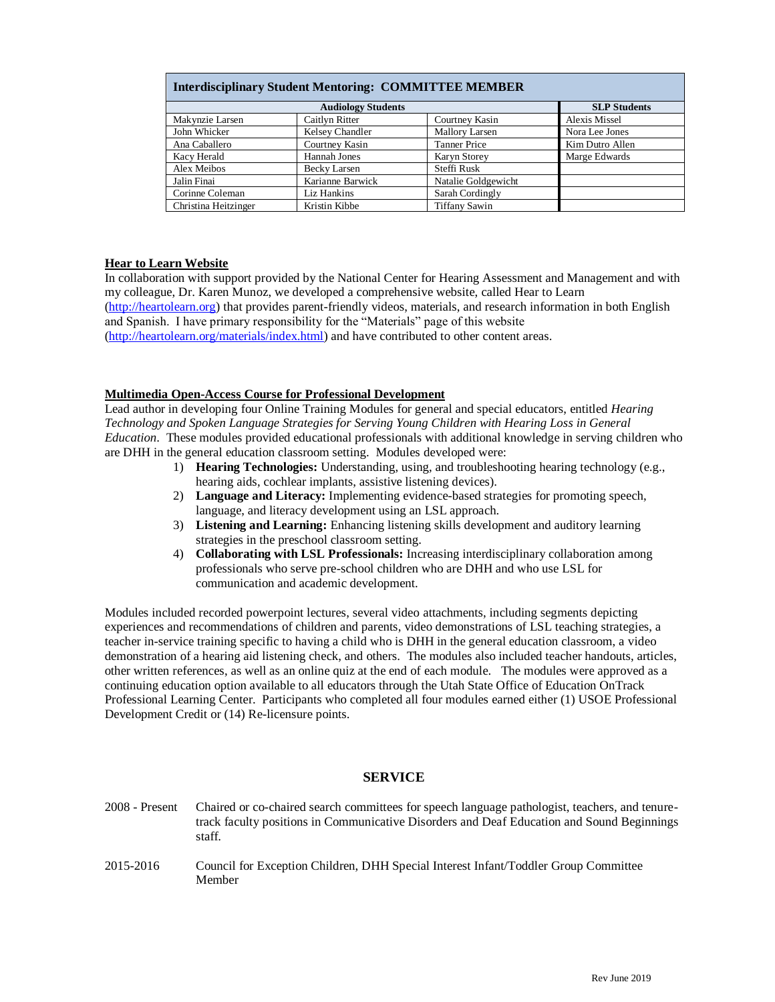| <b>Interdisciplinary Student Mentoring: COMMITTEE MEMBER</b> |                           |                       |                      |
|--------------------------------------------------------------|---------------------------|-----------------------|----------------------|
|                                                              | <b>Audiology Students</b> |                       | <b>SLP Students</b>  |
| Makynzie Larsen                                              | Caitlyn Ritter            | Courtney Kasin        | <b>Alexis Missel</b> |
| John Whicker                                                 | Kelsey Chandler           | <b>Mallory Larsen</b> | Nora Lee Jones       |
| Ana Caballero                                                | Courtney Kasin            | <b>Tanner Price</b>   | Kim Dutro Allen      |
| Kacy Herald                                                  | Hannah Jones              | <b>Karyn Storey</b>   | Marge Edwards        |
| Alex Meibos                                                  | Becky Larsen              | Steffi Rusk           |                      |
| Jalin Finai                                                  | Karianne Barwick          | Natalie Goldgewicht   |                      |
| Corinne Coleman                                              | Liz Hankins               | Sarah Cordingly       |                      |
| Christina Heitzinger                                         | Kristin Kibbe             | <b>Tiffany Sawin</b>  |                      |

### **Hear to Learn Website**

In collaboration with support provided by the National Center for Hearing Assessment and Management and with my colleague, Dr. Karen Munoz, we developed a comprehensive website, called Hear to Learn [\(http://heartolearn.org\)](http://heartolearn.org/) that provides parent-friendly videos, materials, and research information in both English and Spanish. I have primary responsibility for the "Materials" page of this website [\(http://heartolearn.org/materials/index.html\)](http://heartolearn.org/materials/index.html) and have contributed to other content areas.

### **Multimedia Open-Access Course for Professional Development**

Lead author in developing four Online Training Modules for general and special educators, entitled *Hearing Technology and Spoken Language Strategies for Serving Young Children with Hearing Loss in General Education*. These modules provided educational professionals with additional knowledge in serving children who are DHH in the general education classroom setting. Modules developed were:

- 1) **Hearing Technologies:** Understanding, using, and troubleshooting hearing technology (e.g., hearing aids, cochlear implants, assistive listening devices).
- 2) **Language and Literacy:** Implementing evidence-based strategies for promoting speech, language, and literacy development using an LSL approach.
- 3) **Listening and Learning:** Enhancing listening skills development and auditory learning strategies in the preschool classroom setting.
- 4) **Collaborating with LSL Professionals:** Increasing interdisciplinary collaboration among professionals who serve pre-school children who are DHH and who use LSL for communication and academic development.

Modules included recorded powerpoint lectures, several video attachments, including segments depicting experiences and recommendations of children and parents, video demonstrations of LSL teaching strategies, a teacher in-service training specific to having a child who is DHH in the general education classroom, a video demonstration of a hearing aid listening check, and others. The modules also included teacher handouts, articles, other written references, as well as an online quiz at the end of each module. The modules were approved as a continuing education option available to all educators through the Utah State Office of Education OnTrack Professional Learning Center. Participants who completed all four modules earned either (1) USOE Professional Development Credit or (14) Re-licensure points.

#### **SERVICE**

- 2008 Present Chaired or co-chaired search committees for speech language pathologist, teachers, and tenuretrack faculty positions in Communicative Disorders and Deaf Education and Sound Beginnings staff.
- 2015-2016 Council for Exception Children, DHH Special Interest Infant/Toddler Group Committee Member